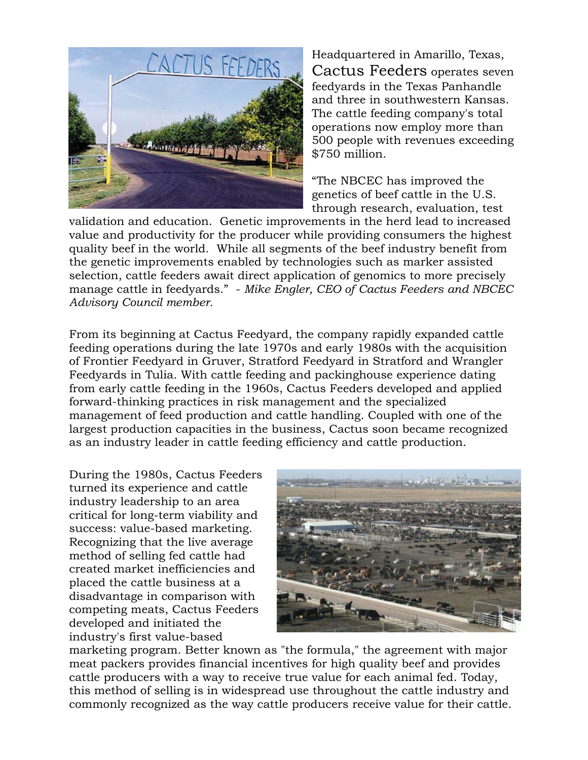

Headquartered in Amarillo, Texas, Cactus Feeders operates seven feedyards in the Texas Panhandle and three in southwestern Kansas. The cattle feeding company's total operations now employ more than 500 people with revenues exceeding \$750 million.

"The NBCEC has improved the genetics of beef cattle in the U.S. through research, evaluation, test

validation and education. Genetic improvements in the herd lead to increased value and productivity for the producer while providing consumers the highest quality beef in the world. While all segments of the beef industry benefit from the genetic improvements enabled by technologies such as marker assisted selection, cattle feeders await direct application of genomics to more precisely manage cattle in feedyards." - *Mike Engler, CEO of Cactus Feeders and NBCEC Advisory Council member.* 

From its beginning at Cactus Feedyard, the company rapidly expanded cattle feeding operations during the late 1970s and early 1980s with the acquisition of Frontier Feedyard in Gruver, Stratford Feedyard in Stratford and Wrangler Feedyards in Tulia. With cattle feeding and packinghouse experience dating from early cattle feeding in the 1960s, Cactus Feeders developed and applied forward-thinking practices in risk management and the specialized management of feed production and cattle handling. Coupled with one of the largest production capacities in the business, Cactus soon became recognized as an industry leader in cattle feeding efficiency and cattle production.

During the 1980s, Cactus Feeders turned its experience and cattle industry leadership to an area critical for long-term viability and success: value-based marketing. Recognizing that the live average method of selling fed cattle had created market inefficiencies and placed the cattle business at a disadvantage in comparison with competing meats, Cactus Feeders developed and initiated the industry's first value-based



marketing program. Better known as "the formula," the agreement with major meat packers provides financial incentives for high quality beef and provides cattle producers with a way to receive true value for each animal fed. Today, this method of selling is in widespread use throughout the cattle industry and commonly recognized as the way cattle producers receive value for their cattle.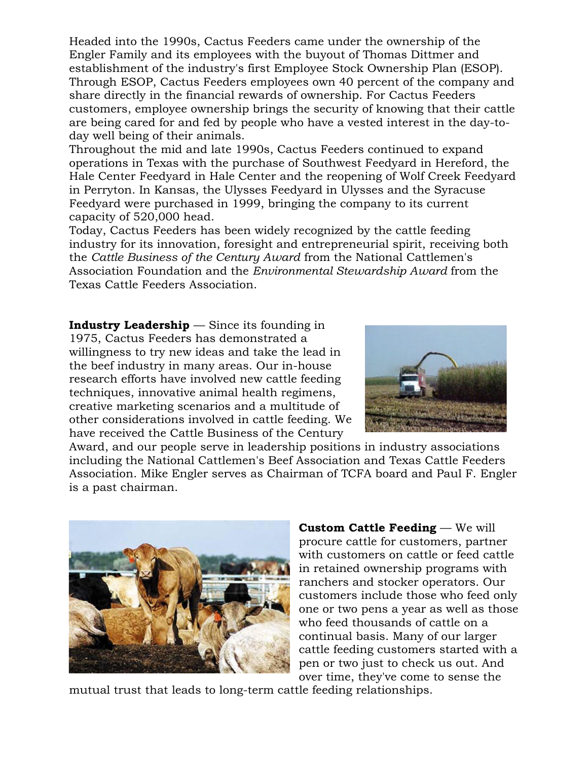Headed into the 1990s, Cactus Feeders came under the ownership of the Engler Family and its employees with the buyout of Thomas Dittmer and establishment of the industry's first Employee Stock Ownership Plan (ESOP). Through ESOP, Cactus Feeders employees own 40 percent of the company and share directly in the financial rewards of ownership. For Cactus Feeders customers, employee ownership brings the security of knowing that their cattle are being cared for and fed by people who have a vested interest in the day-today well being of their animals.

Throughout the mid and late 1990s, Cactus Feeders continued to expand operations in Texas with the purchase of Southwest Feedyard in Hereford, the Hale Center Feedyard in Hale Center and the reopening of Wolf Creek Feedyard in Perryton. In Kansas, the Ulysses Feedyard in Ulysses and the Syracuse Feedyard were purchased in 1999, bringing the company to its current capacity of 520,000 head.

Today, Cactus Feeders has been widely recognized by the cattle feeding industry for its innovation, foresight and entrepreneurial spirit, receiving both the *Cattle Business of the Century Award* from the National Cattlemen's Association Foundation and the *Environmental Stewardship Award* from the Texas Cattle Feeders Association.

**Industry Leadership** — Since its founding in 1975, Cactus Feeders has demonstrated a willingness to try new ideas and take the lead in the beef industry in many areas. Our in-house research efforts have involved new cattle feeding techniques, innovative animal health regimens, creative marketing scenarios and a multitude of other considerations involved in cattle feeding. We have received the Cattle Business of the Century



Award, and our people serve in leadership positions in industry associations including the National Cattlemen's Beef Association and Texas Cattle Feeders Association. Mike Engler serves as Chairman of TCFA board and Paul F. Engler is a past chairman.



**Custom Cattle Feeding** — We will procure cattle for customers, partner with customers on cattle or feed cattle in retained ownership programs with ranchers and stocker operators. Our customers include those who feed only one or two pens a year as well as those who feed thousands of cattle on a continual basis. Many of our larger cattle feeding customers started with a pen or two just to check us out. And over time, they've come to sense the

mutual trust that leads to long-term cattle feeding relationships.